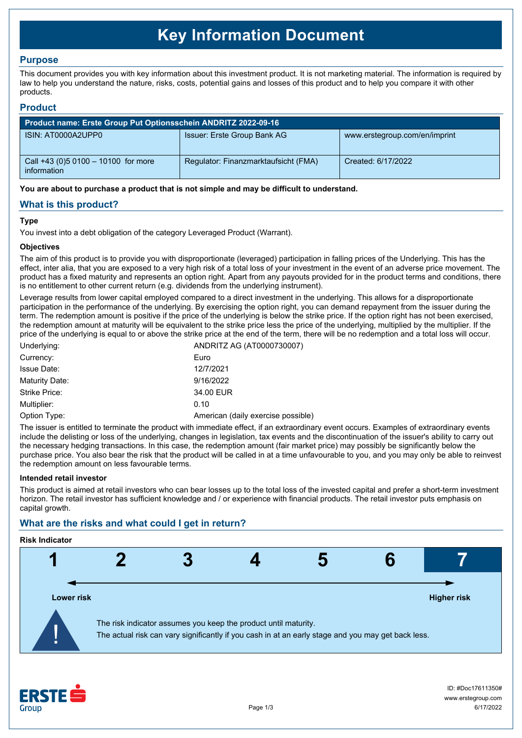# **Key Information Document**

## **Purpose**

This document provides you with key information about this investment product. It is not marketing material. The information is required by law to help you understand the nature, risks, costs, potential gains and losses of this product and to help you compare it with other products.

## **Product**

| Product name: Erste Group Put Optionsschein ANDRITZ 2022-09-16 |                                      |                               |  |  |  |
|----------------------------------------------------------------|--------------------------------------|-------------------------------|--|--|--|
| ISIN: AT0000A2UPP0                                             | Issuer: Erste Group Bank AG          | www.erstegroup.com/en/imprint |  |  |  |
| Call +43 (0) 5 0100 - 10100 for more<br>information            | Regulator: Finanzmarktaufsicht (FMA) | Created: 6/17/2022            |  |  |  |

**You are about to purchase a product that is not simple and may be difficult to understand.**

## **What is this product?**

## **Type**

You invest into a debt obligation of the category Leveraged Product (Warrant).

#### **Objectives**

The aim of this product is to provide you with disproportionate (leveraged) participation in falling prices of the Underlying. This has the effect, inter alia, that you are exposed to a very high risk of a total loss of your investment in the event of an adverse price movement. The product has a fixed maturity and represents an option right. Apart from any payouts provided for in the product terms and conditions, there is no entitlement to other current return (e.g. dividends from the underlying instrument).

Leverage results from lower capital employed compared to a direct investment in the underlying. This allows for a disproportionate participation in the performance of the underlying. By exercising the option right, you can demand repayment from the issuer during the term. The redemption amount is positive if the price of the underlying is below the strike price. If the option right has not been exercised, the redemption amount at maturity will be equivalent to the strike price less the price of the underlying, multiplied by the multiplier. If the price of the underlying is equal to or above the strike price at the end of the term, there will be no redemption and a total loss will occur.

| Underlying:        | ANDRITZ AG (AT0000730007)          |
|--------------------|------------------------------------|
| Currency:          | Euro                               |
| <b>Issue Date:</b> | 12/7/2021                          |
| Maturity Date:     | 9/16/2022                          |
| Strike Price:      | 34.00 EUR                          |
| Multiplier:        | 0.10                               |
| Option Type:       | American (daily exercise possible) |

The issuer is entitled to terminate the product with immediate effect, if an extraordinary event occurs. Examples of extraordinary events include the delisting or loss of the underlying, changes in legislation, tax events and the discontinuation of the issuer's ability to carry out the necessary hedging transactions. In this case, the redemption amount (fair market price) may possibly be significantly below the purchase price. You also bear the risk that the product will be called in at a time unfavourable to you, and you may only be able to reinvest the redemption amount on less favourable terms.

#### **Intended retail investor**

This product is aimed at retail investors who can bear losses up to the total loss of the invested capital and prefer a short-term investment horizon. The retail investor has sufficient knowledge and / or experience with financial products. The retail investor puts emphasis on capital growth.

# **What are the risks and what could I get in return?**

# **Risk Indicator**



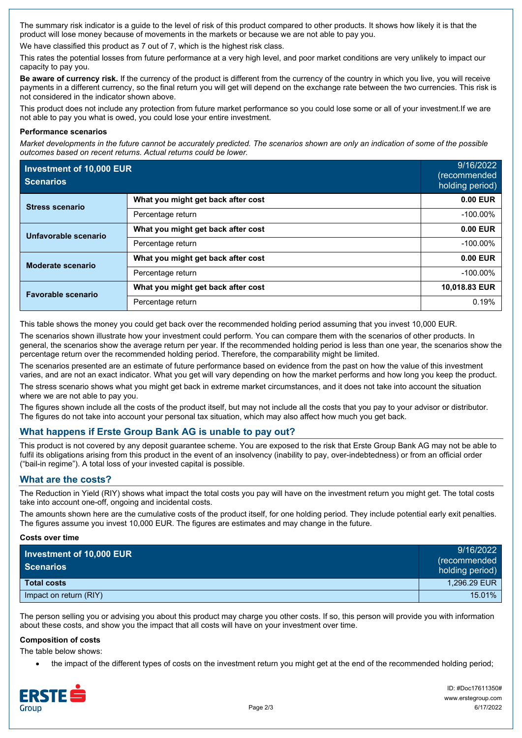The summary risk indicator is a guide to the level of risk of this product compared to other products. It shows how likely it is that the product will lose money because of movements in the markets or because we are not able to pay you.

We have classified this product as 7 out of 7, which is the highest risk class.

This rates the potential losses from future performance at a very high level, and poor market conditions are very unlikely to impact our capacity to pay you.

**Be aware of currency risk.** If the currency of the product is different from the currency of the country in which you live, you will receive payments in a different currency, so the final return you will get will depend on the exchange rate between the two currencies. This risk is not considered in the indicator shown above.

This product does not include any protection from future market performance so you could lose some or all of your investment.If we are not able to pay you what is owed, you could lose your entire investment.

#### **Performance scenarios**

*Market developments in the future cannot be accurately predicted. The scenarios shown are only an indication of some of the possible outcomes based on recent returns. Actual returns could be lower.*

| Investment of 10,000 EUR<br><b>Scenarios</b> |                                    | 9/16/2022<br>(recommended<br>holding period) |
|----------------------------------------------|------------------------------------|----------------------------------------------|
| <b>Stress scenario</b>                       | What you might get back after cost | 0.00 EUR                                     |
|                                              | Percentage return                  | $-100.00\%$                                  |
| Unfavorable scenario                         | What you might get back after cost | $0.00$ EUR                                   |
|                                              | Percentage return                  | $-100.00\%$                                  |
| Moderate scenario                            | What you might get back after cost | 0.00 EUR                                     |
|                                              | Percentage return                  | $-100.00\%$                                  |
| <b>Favorable scenario</b>                    | What you might get back after cost | 10,018.83 EUR                                |
|                                              | Percentage return                  | 0.19%                                        |

This table shows the money you could get back over the recommended holding period assuming that you invest 10,000 EUR.

The scenarios shown illustrate how your investment could perform. You can compare them with the scenarios of other products. In general, the scenarios show the average return per year. If the recommended holding period is less than one year, the scenarios show the percentage return over the recommended holding period. Therefore, the comparability might be limited.

The scenarios presented are an estimate of future performance based on evidence from the past on how the value of this investment varies, and are not an exact indicator. What you get will vary depending on how the market performs and how long you keep the product.

The stress scenario shows what you might get back in extreme market circumstances, and it does not take into account the situation where we are not able to pay you.

The figures shown include all the costs of the product itself, but may not include all the costs that you pay to your advisor or distributor. The figures do not take into account your personal tax situation, which may also affect how much you get back.

## **What happens if Erste Group Bank AG is unable to pay out?**

This product is not covered by any deposit guarantee scheme. You are exposed to the risk that Erste Group Bank AG may not be able to fulfil its obligations arising from this product in the event of an insolvency (inability to pay, over-indebtedness) or from an official order ("bail-in regime"). A total loss of your invested capital is possible.

## **What are the costs?**

The Reduction in Yield (RIY) shows what impact the total costs you pay will have on the investment return you might get. The total costs take into account one-off, ongoing and incidental costs.

The amounts shown here are the cumulative costs of the product itself, for one holding period. They include potential early exit penalties. The figures assume you invest 10,000 EUR. The figures are estimates and may change in the future.

#### **Costs over time**

| Investment of 10,000 EUR<br><b>Scenarios</b> | 9/16/2022<br>(recommended<br>holding period) |
|----------------------------------------------|----------------------------------------------|
| Total costs                                  | 1.296.29 EUR                                 |
| Impact on return (RIY)                       | $15.01\%$                                    |

The person selling you or advising you about this product may charge you other costs. If so, this person will provide you with information about these costs, and show you the impact that all costs will have on your investment over time.

#### **Composition of costs**

The table below shows:

the impact of the different types of costs on the investment return you might get at the end of the recommended holding period;